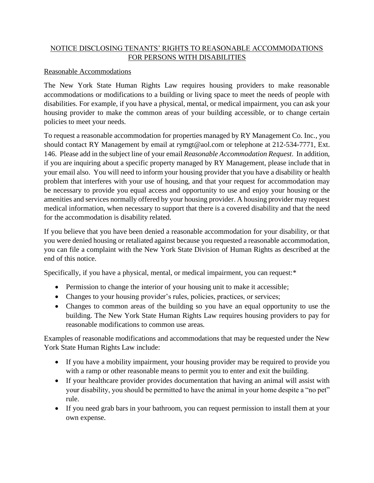## NOTICE DISCLOSING TENANTS' RIGHTS TO REASONABLE ACCOMMODATIONS FOR PERSONS WITH DISABILITIES

## Reasonable Accommodations

The New York State Human Rights Law requires housing providers to make reasonable accommodations or modifications to a building or living space to meet the needs of people with disabilities. For example, if you have a physical, mental, or medical impairment, you can ask your housing provider to make the common areas of your building accessible, or to change certain policies to meet your needs.

To request a reasonable accommodation for properties managed by RY Management Co. Inc., you should contact RY Management by email at rymgt@aol.com or telephone at 212-534-7771, Ext. 146. Please add in the subject line of your email *Reasonable Accommodation Request*. In addition, if you are inquiring about a specific property managed by RY Management, please include that in your email also. You will need to inform your housing provider that you have a disability or health problem that interferes with your use of housing, and that your request for accommodation may be necessary to provide you equal access and opportunity to use and enjoy your housing or the amenities and services normally offered by your housing provider. A housing provider may request medical information, when necessary to support that there is a covered disability and that the need for the accommodation is disability related.

If you believe that you have been denied a reasonable accommodation for your disability, or that you were denied housing or retaliated against because you requested a reasonable accommodation, you can file a complaint with the New York State Division of Human Rights as described at the end of this notice.

Specifically, if you have a physical, mental, or medical impairment, you can request:\*

- Permission to change the interior of your housing unit to make it accessible;
- Changes to your housing provider's rules, policies, practices, or services;
- Changes to common areas of the building so you have an equal opportunity to use the building. The New York State Human Rights Law requires housing providers to pay for reasonable modifications to common use areas.

Examples of reasonable modifications and accommodations that may be requested under the New York State Human Rights Law include:

- If you have a mobility impairment, your housing provider may be required to provide you with a ramp or other reasonable means to permit you to enter and exit the building.
- If your healthcare provider provides documentation that having an animal will assist with your disability, you should be permitted to have the animal in your home despite a "no pet" rule.
- If you need grab bars in your bathroom, you can request permission to install them at your own expense.